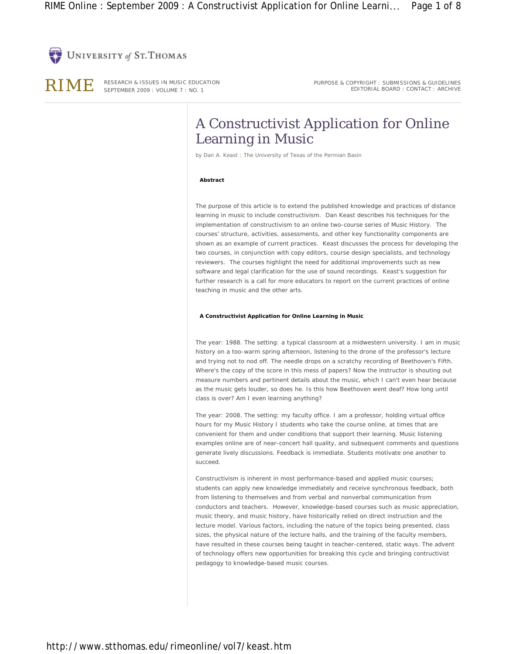



RIME RESEARCH & ISSUES IN MUSIC EDUCATION SEPTEMBER 2009 : VOLUME 7 : NO. 1

PURPOSE & COPYRIGHT : SUBMISSIONS & GUIDELINES EDITORIAL BOARD : CONTACT : ARCHIVE

# A Constructivist Application for Online Learning in Music

by *Dan A. Keast : The University of Texas of the Permian Basin*

## **Abstract**

The purpose of this article is to extend the published knowledge and practices of distance learning in music to include constructivism. Dan Keast describes his techniques for the implementation of constructivism to an online two-course series of Music History. The courses' structure, activities, assessments, and other key functionality components are shown as an example of current practices. Keast discusses the process for developing the two courses, in conjunction with copy editors, course design specialists, and technology reviewers. The courses highlight the need for additional improvements such as new software and legal clarification for the use of sound recordings. Keast's suggestion for further research is a call for more educators to report on the current practices of online teaching in music and the other arts.

## **A Constructivist Application for Online Learning in Music**

The year: 1988. The setting: a typical classroom at a midwestern university. I am in music history on a too-warm spring afternoon, listening to the drone of the professor's lecture and trying not to nod off. The needle drops on a scratchy recording of Beethoven's Fifth. Where's the copy of the score in this mess of papers? Now the instructor is shouting out measure numbers and pertinent details about the music, which I can't even hear because as the music gets louder, so does he. Is this how Beethoven went deaf? How long until class is over? Am I even learning anything?

The year: 2008. The setting: my faculty office. I am a professor, holding virtual office hours for my Music History I students who take the course online, at times that are convenient for them and under conditions that support their learning. Music listening examples online are of near-concert hall quality, and subsequent comments and questions generate lively discussions. Feedback is immediate. Students motivate one another to succeed.

Constructivism is inherent in most performance-based and applied music courses; students can apply new knowledge immediately and receive synchronous feedback, both from listening to themselves and from verbal and nonverbal communication from conductors and teachers. However, knowledge-based courses such as music appreciation, music theory, and music history, have historically relied on direct instruction and the lecture model. Various factors, including the nature of the topics being presented, class sizes, the physical nature of the lecture halls, and the training of the faculty members, have resulted in these courses being taught in teacher-centered, static ways. The advent of technology offers new opportunities for breaking this cycle and bringing contructivist pedagogy to knowledge-based music courses.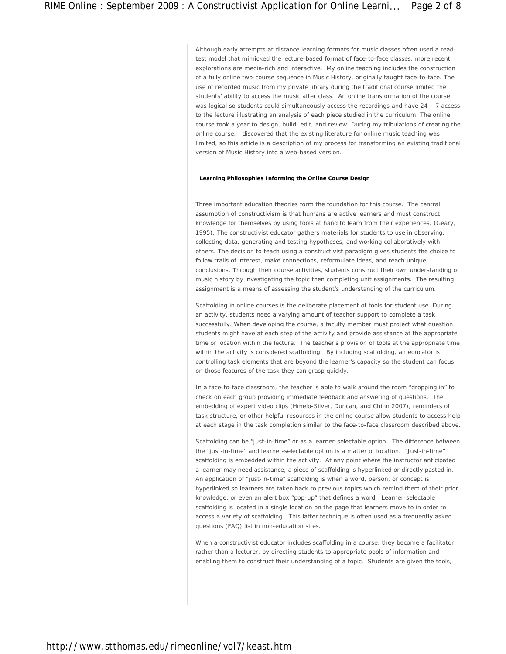Although early attempts at distance learning formats for music classes often used a readtest model that mimicked the lecture-based format of face-to-face classes, more recent explorations are media-rich and interactive. My online teaching includes the construction of a fully online two-course sequence in Music History, originally taught face-to-face. The use of recorded music from my private library during the traditional course limited the students' ability to access the music after class. An online transformation of the course was logical so students could simultaneously access the recordings and have 24 - 7 access to the lecture illustrating an analysis of each piece studied in the curriculum. The online course took a year to design, build, edit, and review. During my tribulations of creating the online course, I discovered that the existing literature for online music teaching was limited, so this article is a description of my process for transforming an existing traditional version of Music History into a web-based version.

## **Learning Philosophies Informing the Online Course Design**

Three important education theories form the foundation for this course. The central assumption of constructivism is that humans are active learners and must construct knowledge for themselves by using tools at hand to learn from their experiences. (Geary, 1995). The constructivist educator gathers materials for students to use in observing, collecting data, generating and testing hypotheses, and working collaboratively with others. The decision to teach using a constructivist paradigm gives students the choice to follow trails of interest, make connections, reformulate ideas, and reach unique conclusions. Through their course activities, students construct their own understanding of music history by investigating the topic then completing unit assignments. The resulting assignment is a means of assessing the student's understanding of the curriculum.

Scaffolding in online courses is the deliberate placement of tools for student use. During an activity, students need a varying amount of teacher support to complete a task successfully. When developing the course, a faculty member must project what question students might have at each step of the activity and provide assistance at the appropriate time or location within the lecture. The teacher's provision of tools at the appropriate time within the activity is considered scaffolding. By including scaffolding, an educator is controlling task elements that are beyond the learner's capacity so the student can focus on those features of the task they can grasp quickly.

In a face-to-face classroom, the teacher is able to walk around the room "dropping in" to check on each group providing immediate feedback and answering of questions. The embedding of expert video clips (Hmelo-Silver, Duncan, and Chinn 2007), reminders of task structure, or other helpful resources in the online course allow students to access help at each stage in the task completion similar to the face-to-face classroom described above.

Scaffolding can be "just-in-time" or as a learner-selectable option. The difference between the "just-in-time" and learner-selectable option is a matter of location. "Just-in-time" scaffolding is embedded within the activity. At any point where the instructor anticipated a learner may need assistance, a piece of scaffolding is hyperlinked or directly pasted in. An application of "just-in-time" scaffolding is when a word, person, or concept is hyperlinked so learners are taken back to previous topics which remind them of their prior knowledge, or even an alert box "pop-up" that defines a word. Learner-selectable scaffolding is located in a single location on the page that learners move to in order to access a variety of scaffolding. This latter technique is often used as a frequently asked questions (FAQ) list in non-education sites.

When a constructivist educator includes scaffolding in a course, they become a facilitator rather than a lecturer, by directing students to appropriate pools of information and enabling them to construct their understanding of a topic. Students are given the tools,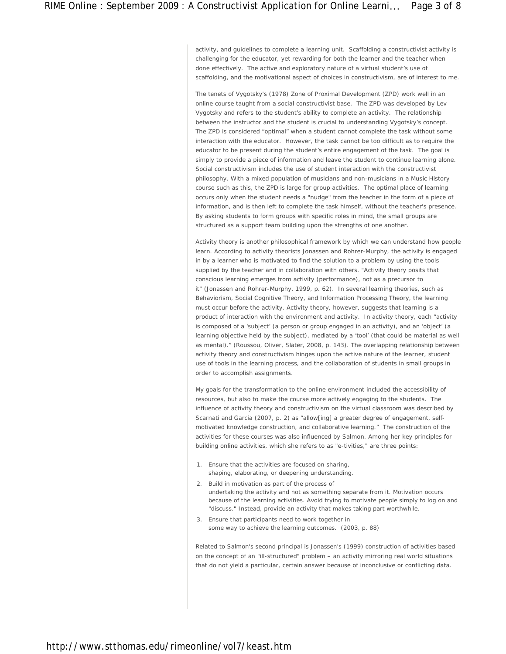activity, and guidelines to complete a learning unit. Scaffolding a constructivist activity is challenging for the educator, yet rewarding for both the learner and the teacher when done effectively. The active and exploratory nature of a virtual student's use of scaffolding, and the motivational aspect of choices in constructivism, are of interest to me.

The tenets of Vygotsky's (1978) Zone of Proximal Development (ZPD) work well in an online course taught from a social constructivist base. The ZPD was developed by Lev Vygotsky and refers to the student's ability to complete an activity. The relationship between the instructor and the student is crucial to understanding Vygotsky's concept. The ZPD is considered "optimal" when a student cannot complete the task without some interaction with the educator. However, the task cannot be too difficult as to require the educator to be present during the student's entire engagement of the task. The goal is simply to provide a piece of information and leave the student to continue learning alone. Social constructivism includes the use of student interaction with the constructivist philosophy. With a mixed population of musicians and non-musicians in a Music History course such as this, the ZPD is large for group activities. The optimal place of learning occurs only when the student needs a "nudge" from the teacher in the form of a piece of information, and is then left to complete the task himself, without the teacher's presence. By asking students to form groups with specific roles in mind, the small groups are structured as a support team building upon the strengths of one another.

Activity theory is another philosophical framework by which we can understand how people learn. According to activity theorists Jonassen and Rohrer-Murphy, the activity is engaged in by a learner who is motivated to find the solution to a problem by using the tools supplied by the teacher and in collaboration with others. "Activity theory posits that conscious learning emerges from activity (performance), not as a precursor to it" (Jonassen and Rohrer-Murphy, 1999, p. 62). In several learning theories, such as Behaviorism, Social Cognitive Theory, and Information Processing Theory, the learning must occur before the activity. Activity theory, however, suggests that learning is a product of interaction with the environment and activity. In activity theory, each "activity is composed of a 'subject' (a person or group engaged in an activity), and an 'object' (a learning objective held by the subject), mediated by a 'tool' (that could be material as well as mental)." (Roussou, Oliver, Slater, 2008, p. 143). The overlapping relationship between activity theory and constructivism hinges upon the active nature of the learner, student use of tools in the learning process, and the collaboration of students in small groups in order to accomplish assignments.

My goals for the transformation to the online environment included the accessibility of resources, but also to make the course more actively engaging to the students. The influence of activity theory and constructivism on the virtual classroom was described by Scarnati and Garcia (2007, p. 2) as "allow[ing] a greater degree of engagement, selfmotivated knowledge construction, and collaborative learning." The construction of the activities for these courses was also influenced by Salmon. Among her key principles for building online activities, which she refers to as "e-tivities," are three points:

- 1. Ensure that the activities are focused on sharing, shaping, elaborating, or deepening understanding.
- 2. Build in motivation as part of the process of undertaking the activity and not as something separate from it. Motivation occurs because of the learning activities. Avoid trying to motivate people simply to log on and "discuss." Instead, provide an activity that makes taking part worthwhile.
- 3. Ensure that participants need to work together in some way to achieve the learning outcomes. (2003, p. 88)

Related to Salmon's second principal is Jonassen's (1999) construction of activities based on the concept of an "ill-structured" problem – an activity mirroring real world situations that do not yield a particular, certain answer because of inconclusive or conflicting data.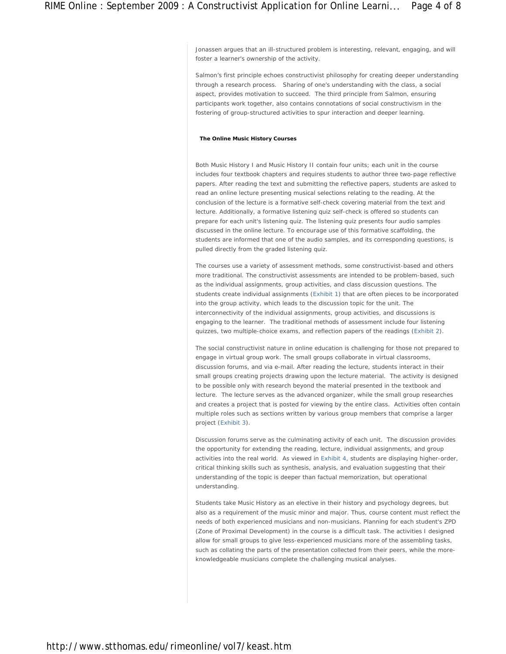Jonassen argues that an ill-structured problem is interesting, relevant, engaging, and will foster a learner's ownership of the activity.

Salmon's first principle echoes constructivist philosophy for creating deeper understanding through a research process. Sharing of one's understanding with the class, a social aspect, provides motivation to succeed. The third principle from Salmon, ensuring participants work together, also contains connotations of social constructivism in the fostering of group-structured activities to spur interaction and deeper learning.

#### **The Online Music History Courses**

Both Music History I and Music History II contain four units; each unit in the course includes four textbook chapters and requires students to author three two-page reflective papers. After reading the text and submitting the reflective papers, students are asked to read an online lecture presenting musical selections relating to the reading. At the conclusion of the lecture is a formative self-check covering material from the text and lecture. Additionally, a formative listening quiz self-check is offered so students can prepare for each unit's listening quiz. The listening quiz presents four audio samples discussed in the online lecture. To encourage use of this formative scaffolding, the students are informed that one of the audio samples, and its corresponding questions, is pulled directly from the graded listening quiz.

The courses use a variety of assessment methods, some constructivist-based and others more traditional. The constructivist assessments are intended to be problem-based, such as the individual assignments, group activities, and class discussion questions. The students create individual assignments (Exhibit 1) that are often pieces to be incorporated into the group activity, which leads to the discussion topic for the unit. The interconnectivity of the individual assignments, group activities, and discussions is engaging to the learner. The traditional methods of assessment include four listening quizzes, two multiple-choice exams, and reflection papers of the readings (Exhibit 2).

The social constructivist nature in online education is challenging for those not prepared to engage in virtual group work. The small groups collaborate in virtual classrooms, discussion forums, and via e-mail. After reading the lecture, students interact in their small groups creating projects drawing upon the lecture material. The activity is designed to be possible only with research beyond the material presented in the textbook and lecture. The lecture serves as the advanced organizer, while the small group researches and creates a project that is posted for viewing by the entire class. Activities often contain multiple roles such as sections written by various group members that comprise a larger project (Exhibit 3).

Discussion forums serve as the culminating activity of each unit. The discussion provides the opportunity for extending the reading, lecture, individual assignments, and group activities into the real world. As viewed in Exhibit 4, students are displaying higher-order, critical thinking skills such as synthesis, analysis, and evaluation suggesting that their understanding of the topic is deeper than factual memorization, but operational understanding.

Students take Music History as an elective in their history and psychology degrees, but also as a requirement of the music minor and major. Thus, course content must reflect the needs of both experienced musicians and non-musicians. Planning for each student's ZPD (Zone of Proximal Development) in the course is a difficult task. The activities I designed allow for small groups to give less-experienced musicians more of the assembling tasks, such as collating the parts of the presentation collected from their peers, while the moreknowledgeable musicians complete the challenging musical analyses.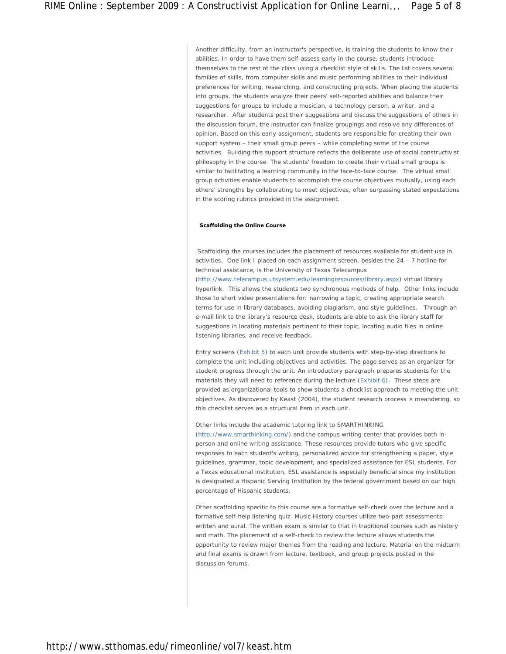Another difficulty, from an instructor's perspective, is training the students to know their abilities. In order to have them self-assess early in the course, students introduce themselves to the rest of the class using a checklist style of skills. The list covers several families of skills, from computer skills and music performing abilities to their individual preferences for writing, researching, and constructing projects. When placing the students into groups, the students analyze their peers' self-reported abilities and balance their suggestions for groups to include a musician, a technology person, a writer, and a researcher. After students post their suggestions and discuss the suggestions of others in the discussion forum, the instructor can finalize groupings and resolve any differences of opinion. Based on this early assignment, students are responsible for creating their own support system – their small group peers – while completing some of the course activities. Building this support structure reflects the deliberate use of social constructivist philosophy in the course. The students' freedom to create their virtual small groups is similar to facilitating a learning community in the face-to-face course. The virtual small group activities enable students to accomplish the course objectives mutually, using each others' strengths by collaborating to meet objectives, often surpassing stated expectations in the scoring rubrics provided in the assignment.

## **Scaffolding the Online Course**

 Scaffolding the courses includes the placement of resources available for student use in activities. One link I placed on each assignment screen, besides the 24 – 7 hotline for technical assistance, is the University of Texas Telecampus

(http://www.telecampus.utsystem.edu/learningresources/library.aspx) virtual library hyperlink. This allows the students two synchronous methods of help. Other links include those to short video presentations for: narrowing a topic, creating appropriate search terms for use in library databases, avoiding plagiarism, and style guidelines. Through an e-mail link to the library's resource desk, students are able to ask the library staff for suggestions in locating materials pertinent to their topic, locating audio files in online listening libraries, and receive feedback.

Entry screens (Exhibit 5) to each unit provide students with step-by-step directions to complete the unit including objectives and activities. The page serves as an organizer for student progress through the unit. An introductory paragraph prepares students for the materials they will need to reference during the lecture (Exhibit 6). These steps are provided as organizational tools to show students a checklist approach to meeting the unit objectives. As discovered by Keast (2004), the student research process is meandering, so this checklist serves as a structural item in each unit.

### Other links include the academic tutoring link to SMARTHINKING

(http://www.smarthinking.com/) and the campus writing center that provides both inperson and online writing assistance. These resources provide tutors who give specific responses to each student's writing, personalized advice for strengthening a paper, style guidelines, grammar, topic development, and specialized assistance for ESL students. For a Texas educational institution, ESL assistance is especially beneficial since my institution is designated a Hispanic Serving Institution by the federal government based on our high percentage of Hispanic students.

Other scaffolding specific to this course are a formative self-check over the lecture and a formative self-help listening quiz. Music History courses utilize two-part assessments: written and aural. The written exam is similar to that in traditional courses such as history and math. The placement of a self-check to review the lecture allows students the opportunity to review major themes from the reading and lecture. Material on the midterm and final exams is drawn from lecture, textbook, and group projects posted in the discussion forums.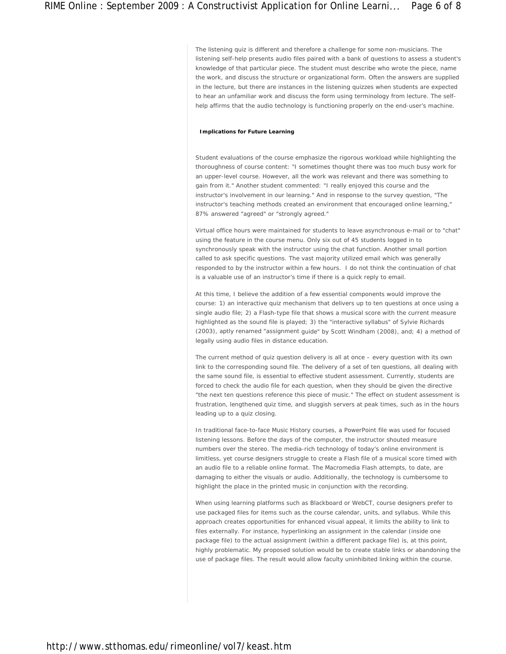The listening quiz is different and therefore a challenge for some non-musicians. The listening self-help presents audio files paired with a bank of questions to assess a student's knowledge of that particular piece. The student must describe who wrote the piece, name the work, and discuss the structure or organizational form. Often the answers are supplied in the lecture, but there are instances in the listening quizzes when students are expected to hear an unfamiliar work and discuss the form using terminology from lecture. The selfhelp affirms that the audio technology is functioning properly on the end-user's machine.

## **Implications for Future Learning**

Student evaluations of the course emphasize the rigorous workload while highlighting the thoroughness of course content: "I sometimes thought there was too much busy work for an upper-level course. However, all the work was relevant and there was something to gain from it." Another student commented: "I really enjoyed this course and the instructor's involvement in our learning." And in response to the survey question, "The instructor's teaching methods created an environment that encouraged online learning," 87% answered "agreed" or "strongly agreed."

Virtual office hours were maintained for students to leave asynchronous e-mail or to "chat" using the feature in the course menu. Only six out of 45 students logged in to synchronously speak with the instructor using the chat function. Another small portion called to ask specific questions. The vast majority utilized email which was generally responded to by the instructor within a few hours. I do not think the continuation of chat is a valuable use of an instructor's time if there is a quick reply to email.

At this time, I believe the addition of a few essential components would improve the course: 1) an interactive quiz mechanism that delivers up to ten questions at once using a single audio file; 2) a Flash-type file that shows a musical score with the current measure highlighted as the sound file is played; 3) the "interactive syllabus" of Sylvie Richards (2003), aptly renamed "assignment guide" by Scott Windham (2008), and; 4) a method of legally using audio files in distance education.

The current method of quiz question delivery is all at once – every question with its own link to the corresponding sound file. The delivery of a set of ten questions, all dealing with the same sound file, is essential to effective student assessment. Currently, students are forced to check the audio file for each question, when they should be given the directive "the next ten questions reference this piece of music." The effect on student assessment is frustration, lengthened quiz time, and sluggish servers at peak times, such as in the hours leading up to a quiz closing.

In traditional face-to-face Music History courses, a PowerPoint file was used for focused listening lessons. Before the days of the computer, the instructor shouted measure numbers over the stereo. The media-rich technology of today's online environment is limitless, yet course designers struggle to create a Flash file of a musical score timed with an audio file to a reliable online format. The Macromedia Flash attempts, to date, are damaging to either the visuals or audio. Additionally, the technology is cumbersome to highlight the place in the printed music in conjunction with the recording.

When using learning platforms such as Blackboard or WebCT, course designers prefer to use packaged files for items such as the course calendar, units, and syllabus. While this approach creates opportunities for enhanced visual appeal, it limits the ability to link to files externally. For instance, hyperlinking an assignment in the calendar (inside one package file) to the actual assignment (within a different package file) is, at this point, highly problematic. My proposed solution would be to create stable links or abandoning the use of package files. The result would allow faculty uninhibited linking within the course.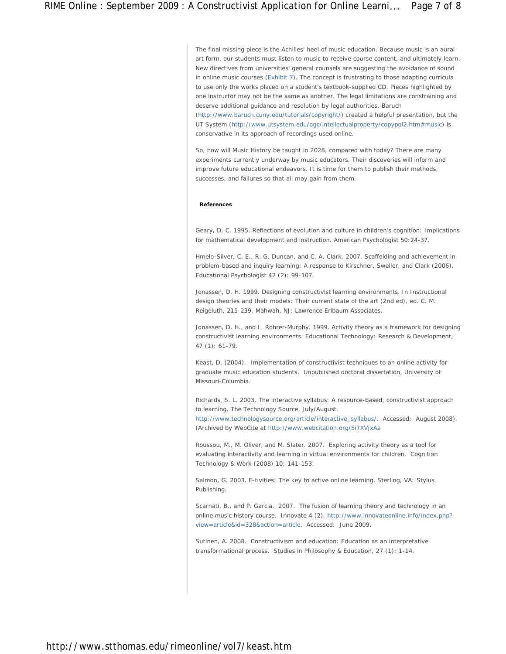The final missing piece is the Achilles' heel of music education. Because music is an aural art form, our students must listen to music to receive course content, and ultimately learn. New directives from universities' general counsels are suggesting the avoidance of sound in online music courses (Exhibit 7). The concept is frustrating to those adapting curricula to use only the works placed on a student's textbook-supplied CD. Pieces highlighted by one instructor may not be the same as another. The legal limitations are constraining and deserve additional guidance and resolution by legal authorities. Baruch (http://www.baruch.cuny.edu/tutorials/copyright/) created a helpful presentation, but the UT System (http://www.utsystem.edu/ogc/intellectualproperty/copypol2.htm#music) is conservative in its approach of recordings used online.

So, how will Music History be taught in 2028, compared with today? There are many experiments currently underway by music educators. Their discoveries will inform and improve future educational endeavors. It is time for them to publish their methods, successes, and failures so that all may gain from them.

## **References**

Geary, D. C. 1995. Reflections of evolution and culture in children's cognition: Implications for mathematical development and instruction. *American Psychologist 50*:24-37.

Hmelo-Silver, C. E., R. G. Duncan, and C. A. Clark. 2007. Scaffolding and achievement in problem-based and inquiry learning: A response to Kirschner, Sweller, and Clark (2006). *Educational Psychologist 42* (2): 99-107.

Jonassen, D. H. 1999. Designing constructivist learning environments. *In Instructional design theories and their models: Their current state of the art* (2nd ed), ed. C. M. Reigeluth, 215-239. Mahwah, NJ: Lawrence Erlbaum Associates.

Jonassen, D. H., and L. Rohrer-Murphy. 1999. Activity theory as a framework for designing constructivist learning environments. *Educational Technology: Research & Development, 47* (1): 61-79.

Keast, D. (2004). Implementation of constructivist techniques to an online activity for graduate music education students. Unpublished doctoral dissertation, University of Missouri-Columbia.

Richards, S. L. 2003. The interactive syllabus: A resource-based, constructivist approach to learning. *The Technology Source, July/August.*

http://www.technologysource.org/article/interactive\_syllabus/. Accessed: August 2008). (Archived by WebCite at http://www.webcitation.org/5i7XVjxAa

Roussou, M., M. Oliver, and M. Slater. 2007. Exploring activity theory as a tool for evaluating interactivity and learning in virtual environments for children. *Cognition Technology & Work* (2008) 10: 141-153.

Salmon, G. 2003. *E-tivities: The key to active online learning*. Sterling, VA: Stylus Publishing.

Scarnati, B., and P. Garcia. 2007. The fusion of learning theory and technology in an online music history course. *Innovate 4* (2). http://www.innovateonline.info/index.php? view=article&id=328&action=article. Accessed: June 2009.

Sutinen, A. 2008. Constructivism and education: Education as an interpretative transformational process. *Studies in Philosophy & Education, 27* (1): 1-14.